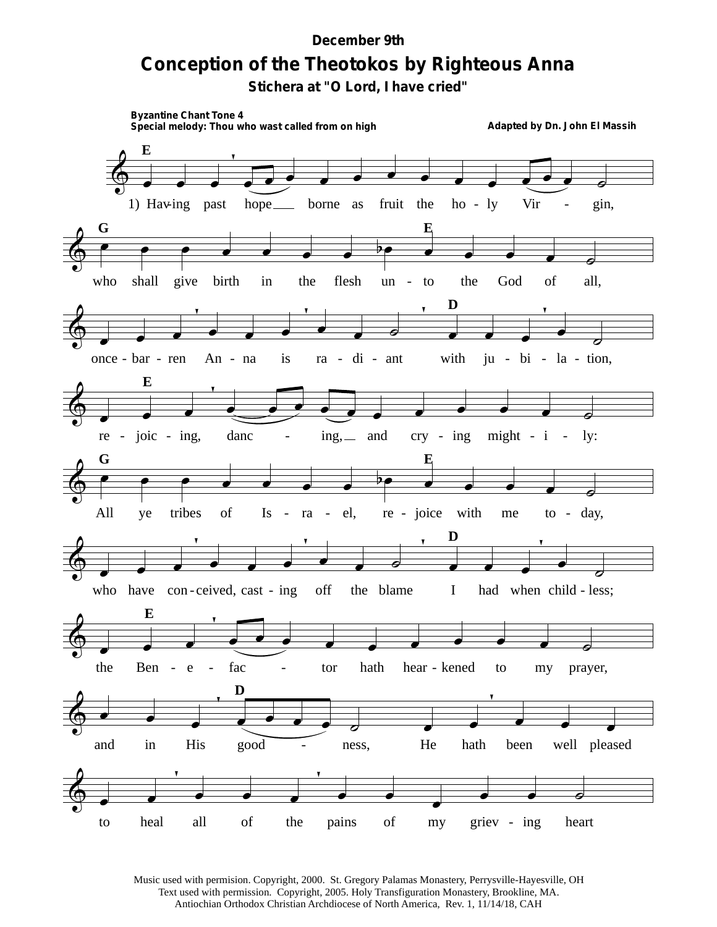## **Conception of the Theotokos by Righteous Anna** *December 9th*

**Stichera at "O Lord, I have cried"**



Music used with permision. Copyright, 2000. St. Gregory Palamas Monastery, Perrysville-Hayesville, OH Text used with permission. Copyright, 2005. Holy Transfiguration Monastery, Brookline, MA. Antiochian Orthodox Christian Archdiocese of North America, Rev. 1, 11/14/18, CAH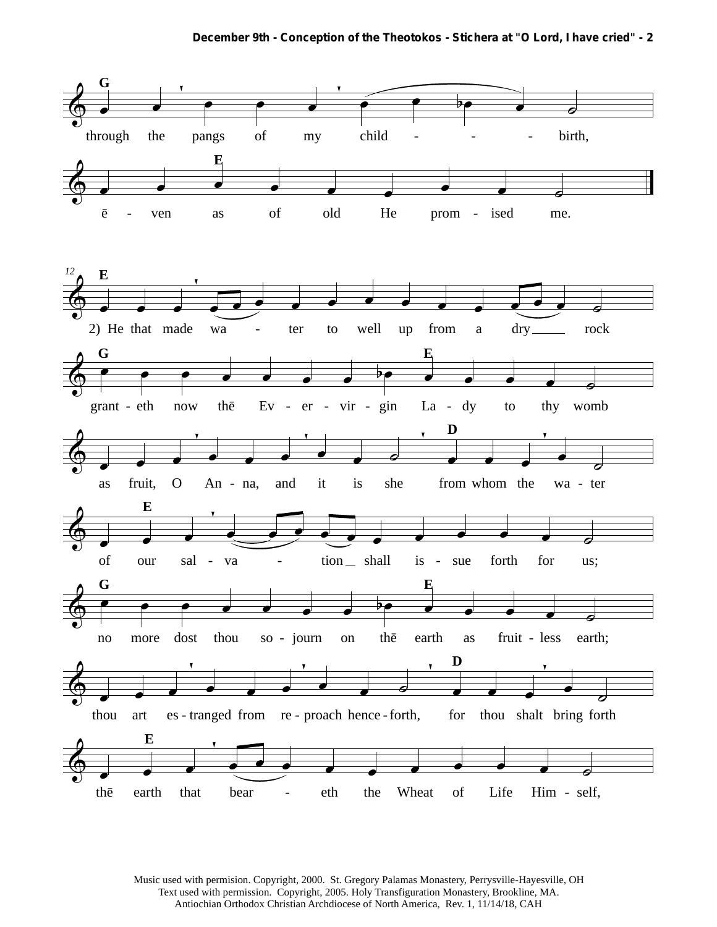

Music used with permision. Copyright, 2000. St. Gregory Palamas Monastery, Perrysville-Hayesville, OH Text used with permission. Copyright, 2005. Holy Transfiguration Monastery, Brookline, MA. Antiochian Orthodox Christian Archdiocese of North America, Rev. 1, 11/14/18, CAH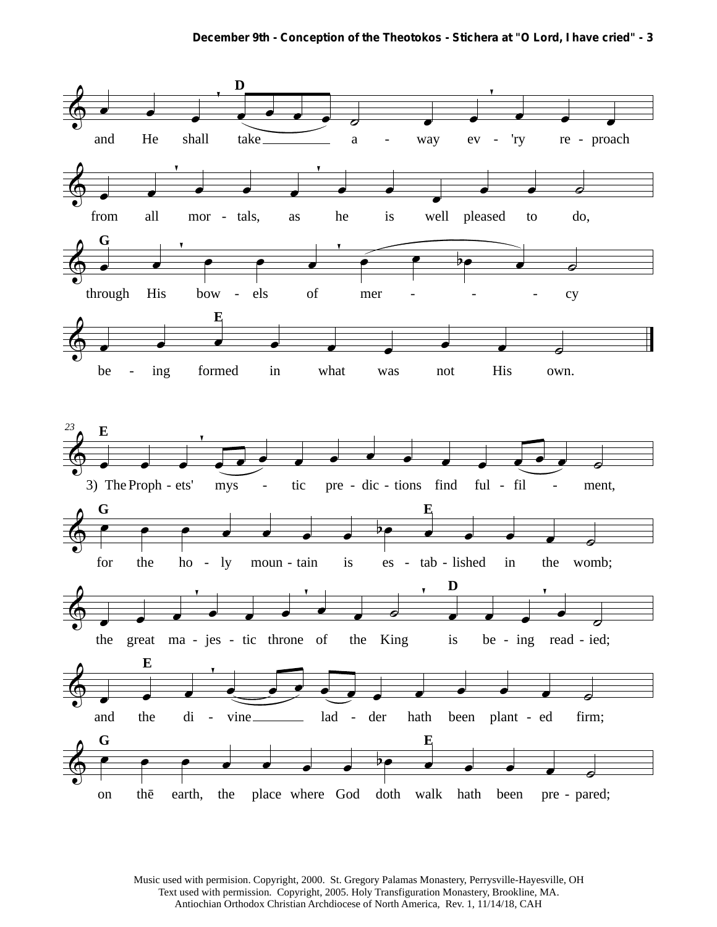**December 9th - Conception of the Theotokos - Stichera at "O Lord, I have cried" - 3**



Music used with permision. Copyright, 2000. St. Gregory Palamas Monastery, Perrysville-Hayesville, OH Text used with permission. Copyright, 2005. Holy Transfiguration Monastery, Brookline, MA. Antiochian Orthodox Christian Archdiocese of North America, Rev. 1, 11/14/18, CAH